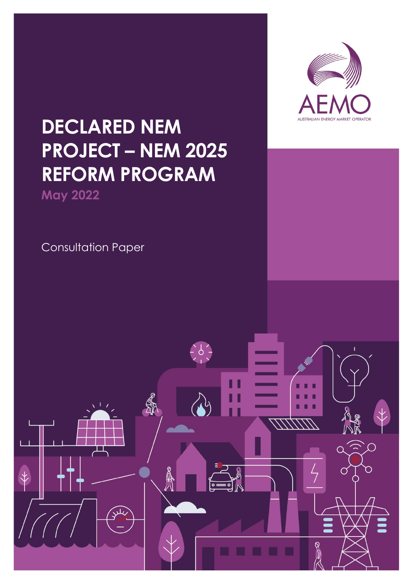

# **DECLARED NEM PROJECT – NEM 2025 REFORM PROGRAM**

**May 2022**

Consultation Paper

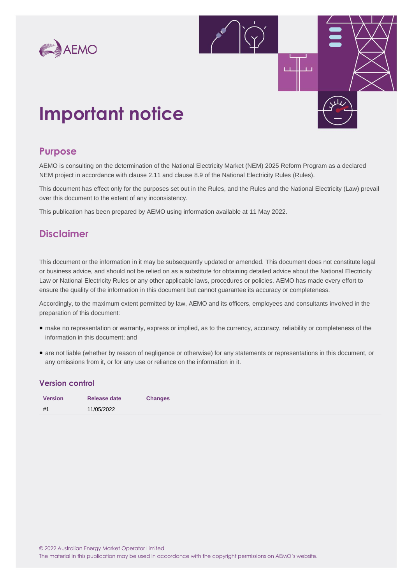



## **Important notice**

### **Purpose**

AEMO is consulting on the determination of the National Electricity Market (NEM) 2025 Reform Program as a declared NEM project in accordance with clause 2.11 and clause 8.9 of the National Electricity Rules (Rules).

This document has effect only for the purposes set out in the Rules, and the Rules and the National Electricity (Law) prevail over this document to the extent of any inconsistency.

This publication has been prepared by AEMO using information available at 11 May 2022.

### **Disclaimer**

This document or the information in it may be subsequently updated or amended. This document does not constitute legal or business advice, and should not be relied on as a substitute for obtaining detailed advice about the National Electricity Law or National Electricity Rules or any other applicable laws, procedures or policies. AEMO has made every effort to ensure the quality of the information in this document but cannot guarantee its accuracy or completeness.

Accordingly, to the maximum extent permitted by law, AEMO and its officers, employees and consultants involved in the preparation of this document:

- make no representation or warranty, express or implied, as to the currency, accuracy, reliability or completeness of the information in this document; and
- are not liable (whether by reason of negligence or otherwise) for any statements or representations in this document, or any omissions from it, or for any use or reliance on the information in it.

#### **Version control**

| <b>Version</b> | Release date | <b>Changes</b> |
|----------------|--------------|----------------|
| #1             | 11/05/2022   |                |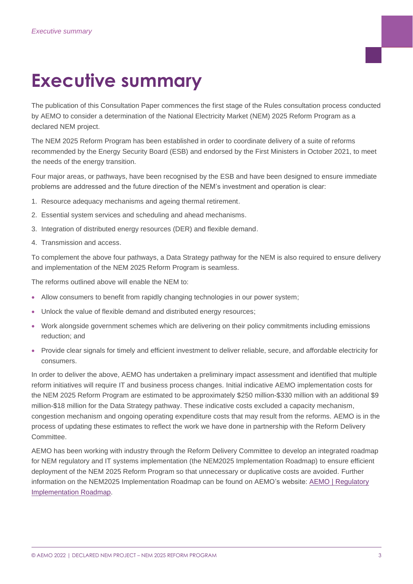# <span id="page-2-0"></span>**Executive summary**

The publication of this Consultation Paper commences the first stage of the Rules consultation process conducted by AEMO to consider a determination of the National Electricity Market (NEM) 2025 Reform Program as a declared NEM project.

The NEM 2025 Reform Program has been established in order to coordinate delivery of a suite of reforms recommended by the Energy Security Board (ESB) and endorsed by the First Ministers in October 2021, to meet the needs of the energy transition.

Four major areas, or pathways, have been recognised by the ESB and have been designed to ensure immediate problems are addressed and the future direction of the NEM's investment and operation is clear:

- 1. Resource adequacy mechanisms and ageing thermal retirement.
- 2. Essential system services and scheduling and ahead mechanisms.
- 3. Integration of distributed energy resources (DER) and flexible demand.
- 4. Transmission and access.

To complement the above four pathways, a Data Strategy pathway for the NEM is also required to ensure delivery and implementation of the NEM 2025 Reform Program is seamless.

The reforms outlined above will enable the NEM to:

- Allow consumers to benefit from rapidly changing technologies in our power system;
- Unlock the value of flexible demand and distributed energy resources;
- Work alongside government schemes which are delivering on their policy commitments including emissions reduction; and
- Provide clear signals for timely and efficient investment to deliver reliable, secure, and affordable electricity for consumers.

In order to deliver the above, AEMO has undertaken a preliminary impact assessment and identified that multiple reform initiatives will require IT and business process changes. Initial indicative AEMO implementation costs for the NEM 2025 Reform Program are estimated to be approximately \$250 million-\$330 million with an additional \$9 million-\$18 million for the Data Strategy pathway. These indicative costs excluded a capacity mechanism, congestion mechanism and ongoing operating expenditure costs that may result from the reforms. AEMO is in the process of updating these estimates to reflect the work we have done in partnership with the Reform Delivery Committee.

AEMO has been working with industry through the Reform Delivery Committee to develop an integrated roadmap for NEM regulatory and IT systems implementation (the NEM2025 Implementation Roadmap) to ensure efficient deployment of the NEM 2025 Reform Program so that unnecessary or duplicative costs are avoided. Further information on the NEM2025 Implementation Roadmap can be found on AEMO's website: AEMO | Regulatory [Implementation Roadmap.](https://www.aemo.com.au/initiatives/major-programs/regulatory-implementation-roadmap)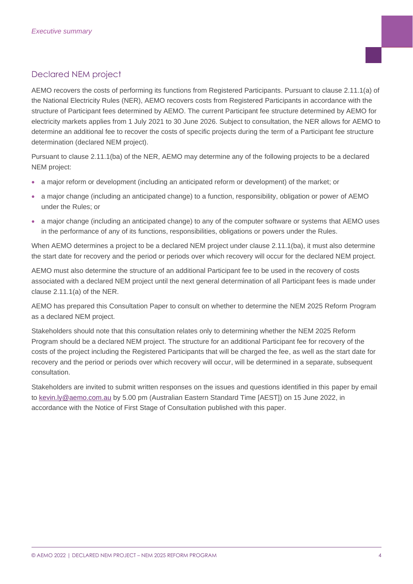### Declared NEM project

AEMO recovers the costs of performing its functions from Registered Participants. Pursuant to clause 2.11.1(a) of the National Electricity Rules (NER), AEMO recovers costs from Registered Participants in accordance with the structure of Participant fees determined by AEMO. The current Participant fee structure determined by AEMO for electricity markets applies from 1 July 2021 to 30 June 2026. Subject to consultation, the NER allows for AEMO to determine an additional fee to recover the costs of specific projects during the term of a Participant fee structure determination (declared NEM project).

Pursuant to clause 2.11.1(ba) of the NER, AEMO may determine any of the following projects to be a declared NEM project:

- a major reform or development (including an anticipated reform or development) of the market; or
- a major change (including an anticipated change) to a function, responsibility, obligation or power of AEMO under the Rules; or
- a major change (including an anticipated change) to any of the computer software or systems that AEMO uses in the performance of any of its functions, responsibilities, obligations or powers under the Rules.

When AEMO determines a project to be a declared NEM project under clause 2.11.1(ba), it must also determine the start date for recovery and the period or periods over which recovery will occur for the declared NEM project.

AEMO must also determine the structure of an additional Participant fee to be used in the recovery of costs associated with a declared NEM project until the next general determination of all Participant fees is made under clause 2.11.1(a) of the NER.

AEMO has prepared this Consultation Paper to consult on whether to determine the NEM 2025 Reform Program as a declared NEM project.

Stakeholders should note that this consultation relates only to determining whether the NEM 2025 Reform Program should be a declared NEM project. The structure for an additional Participant fee for recovery of the costs of the project including the Registered Participants that will be charged the fee, as well as the start date for recovery and the period or periods over which recovery will occur, will be determined in a separate, subsequent consultation.

Stakeholders are invited to submit written responses on the issues and questions identified in this paper by email to [kevin.ly@aemo.com.au](mailto:kevin.ly@aemo.com.au) by 5.00 pm (Australian Eastern Standard Time [AEST]) on 15 June 2022, in accordance with the Notice of First Stage of Consultation published with this paper.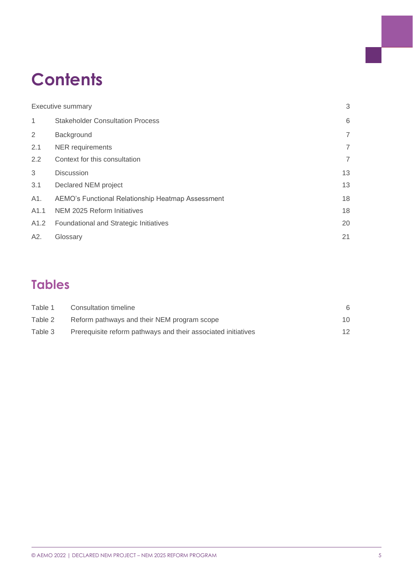## **Contents**

|                  | Executive summary                                 | 3              |
|------------------|---------------------------------------------------|----------------|
| 1                | <b>Stakeholder Consultation Process</b>           | 6              |
| 2                | Background                                        | $\overline{7}$ |
| 2.1              | <b>NER</b> requirements                           | 7              |
| 2.2              | Context for this consultation                     | 7              |
| 3                | <b>Discussion</b>                                 | 13             |
| 3.1              | Declared NEM project                              | 13             |
| A1.              | AEMO's Functional Relationship Heatmap Assessment | 18             |
| A <sub>1.1</sub> | NEM 2025 Reform Initiatives                       | 18             |
| A1.2             | Foundational and Strategic Initiatives            | 20             |
| A2.              | Glossary                                          | 21             |
|                  |                                                   |                |

## **Tables**

| Table 1 | Consultation timeline                                         |    |
|---------|---------------------------------------------------------------|----|
| Table 2 | Reform pathways and their NEM program scope                   | 10 |
| Table 3 | Prerequisite reform pathways and their associated initiatives | 12 |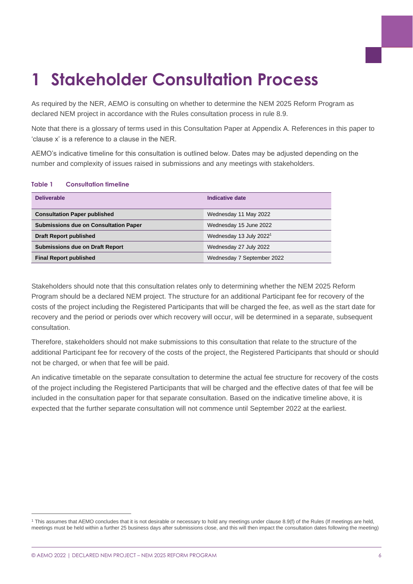# <span id="page-5-0"></span>**1 Stakeholder Consultation Process**

As required by the NER, AEMO is consulting on whether to determine the NEM 2025 Reform Program as declared NEM project in accordance with the Rules consultation process in rule 8.9.

Note that there is a glossary of terms used in this Consultation Paper at Appendix A. References in this paper to 'clause x' is a reference to a clause in the NER.

AEMO's indicative timeline for this consultation is outlined below. Dates may be adjusted depending on the number and complexity of issues raised in submissions and any meetings with stakeholders.

| <b>Deliverable</b>                           | Indicative date                     |
|----------------------------------------------|-------------------------------------|
| <b>Consultation Paper published</b>          | Wednesday 11 May 2022               |
| <b>Submissions due on Consultation Paper</b> | Wednesday 15 June 2022              |
| <b>Draft Report published</b>                | Wednesday 13 July 2022 <sup>1</sup> |
| <b>Submissions due on Draft Report</b>       | Wednesday 27 July 2022              |
| <b>Final Report published</b>                | Wednesday 7 September 2022          |

#### <span id="page-5-1"></span>**Table 1 Consultation timeline**

Stakeholders should note that this consultation relates only to determining whether the NEM 2025 Reform Program should be a declared NEM project. The structure for an additional Participant fee for recovery of the costs of the project including the Registered Participants that will be charged the fee, as well as the start date for recovery and the period or periods over which recovery will occur, will be determined in a separate, subsequent consultation.

Therefore, stakeholders should not make submissions to this consultation that relate to the structure of the additional Participant fee for recovery of the costs of the project, the Registered Participants that should or should not be charged, or when that fee will be paid.

An indicative timetable on the separate consultation to determine the actual fee structure for recovery of the costs of the project including the Registered Participants that will be charged and the effective dates of that fee will be included in the consultation paper for that separate consultation. Based on the indicative timeline above, it is expected that the further separate consultation will not commence until September 2022 at the earliest.

<sup>1</sup> This assumes that AEMO concludes that it is not desirable or necessary to hold any meetings under clause 8.9(f) of the Rules (If meetings are held, meetings must be held within a further 25 business days after submissions close, and this will then impact the consultation dates following the meeting)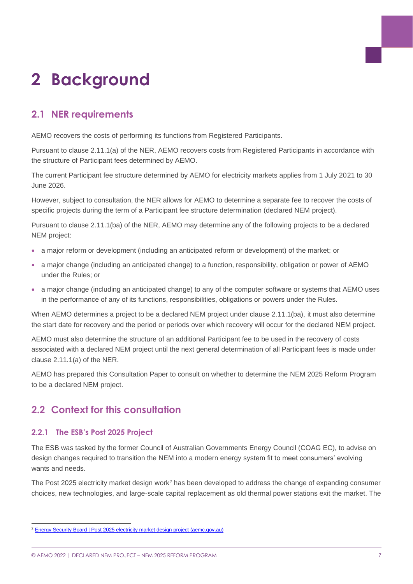# <span id="page-6-0"></span>**2 Background**

### <span id="page-6-1"></span>**2.1 NER requirements**

AEMO recovers the costs of performing its functions from Registered Participants.

Pursuant to clause 2.11.1(a) of the NER, AEMO recovers costs from Registered Participants in accordance with the structure of Participant fees determined by AEMO.

The current Participant fee structure determined by AEMO for electricity markets applies from 1 July 2021 to 30 June 2026.

However, subject to consultation, the NER allows for AEMO to determine a separate fee to recover the costs of specific projects during the term of a Participant fee structure determination (declared NEM project).

Pursuant to clause 2.11.1(ba) of the NER, AEMO may determine any of the following projects to be a declared NEM project:

- a major reform or development (including an anticipated reform or development) of the market; or
- a major change (including an anticipated change) to a function, responsibility, obligation or power of AEMO under the Rules; or
- a major change (including an anticipated change) to any of the computer software or systems that AEMO uses in the performance of any of its functions, responsibilities, obligations or powers under the Rules.

When AEMO determines a project to be a declared NEM project under clause 2.11.1(ba), it must also determine the start date for recovery and the period or periods over which recovery will occur for the declared NEM project.

AEMO must also determine the structure of an additional Participant fee to be used in the recovery of costs associated with a declared NEM project until the next general determination of all Participant fees is made under clause 2.11.1(a) of the NER.

AEMO has prepared this Consultation Paper to consult on whether to determine the NEM 2025 Reform Program to be a declared NEM project.

### <span id="page-6-2"></span>**2.2 Context for this consultation**

#### **2.2.1 The ESB's Post 2025 Project**

The ESB was tasked by the former Council of Australian Governments Energy Council (COAG EC), to advise on design changes required to transition the NEM into a modern energy system fit to meet consumers' evolving wants and needs.

The Post 2025 electricity market design work<sup>2</sup> has been developed to address the change of expanding consumer choices, new technologies, and large-scale capital replacement as old thermal power stations exit the market. The

<sup>&</sup>lt;sup>2</sup> [Energy Security Board | Post 2025 electricity market design project \(aemc.gov.au\)](https://esb-post2025-market-design.aemc.gov.au/)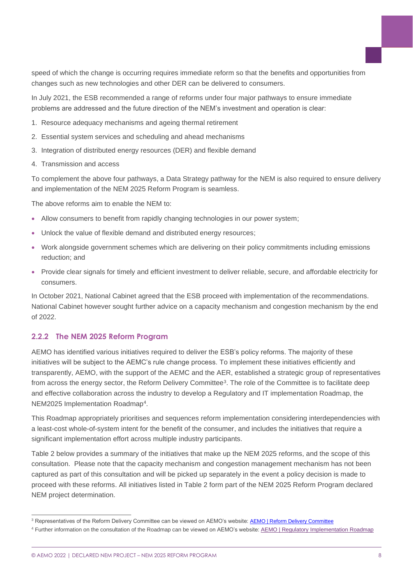speed of which the change is occurring requires immediate reform so that the benefits and opportunities from changes such as new technologies and other DER can be delivered to consumers.

In July 2021, the ESB recommended a range of reforms under four major pathways to ensure immediate problems are addressed and the future direction of the NEM's investment and operation is clear:

- 1. Resource adequacy mechanisms and ageing thermal retirement
- 2. Essential system services and scheduling and ahead mechanisms
- 3. Integration of distributed energy resources (DER) and flexible demand
- 4. Transmission and access

To complement the above four pathways, a Data Strategy pathway for the NEM is also required to ensure delivery and implementation of the NEM 2025 Reform Program is seamless.

The above reforms aim to enable the NEM to:

- Allow consumers to benefit from rapidly changing technologies in our power system;
- Unlock the value of flexible demand and distributed energy resources;
- Work alongside government schemes which are delivering on their policy commitments including emissions reduction; and
- Provide clear signals for timely and efficient investment to deliver reliable, secure, and affordable electricity for consumers.

In October 2021, National Cabinet agreed that the ESB proceed with implementation of the recommendations. National Cabinet however sought further advice on a capacity mechanism and congestion mechanism by the end of 2022.

#### **2.2.2 The NEM 2025 Reform Program**

AEMO has identified various initiatives required to deliver the ESB's policy reforms. The majority of these initiatives will be subject to the AEMC's rule change process. To implement these initiatives efficiently and transparently, AEMO, with the support of the AEMC and the AER, established a strategic group of representatives from across the energy sector, the Reform Delivery Committee<sup>3</sup>. The role of the Committee is to facilitate deep and effective collaboration across the industry to develop a Regulatory and IT implementation Roadmap, the NEM2025 Implementation Roadmap<sup>4</sup> .

This Roadmap appropriately prioritises and sequences reform implementation considering interdependencies with a least-cost whole-of-system intent for the benefit of the consumer, and includes the initiatives that require a significant implementation effort across multiple industry participants.

Table 2 below provides a summary of the initiatives that make up the NEM 2025 reforms, and the scope of this consultation. Please note that the capacity mechanism and congestion management mechanism has not been captured as part of this consultation and will be picked up separately in the event a policy decision is made to proceed with these reforms. All initiatives listed in Table 2 form part of the NEM 2025 Reform Program declared NEM project determination.

<sup>&</sup>lt;sup>3</sup> Representatives of the Reform Delivery Committee can be viewed on AEMO's website: **[AEMO | Reform Delivery Committee](https://www.aemo.com.au/consultations/industry-forums-and-working-groups/list-of-industry-forums-and-working-groups/reform-delivery-committee)** 

<sup>4</sup> Further information on the consultation of the Roadmap can be viewed on AEMO's website[: AEMO | Regulatory Implementation Roadmap](https://www.aemo.com.au/initiatives/major-programs/regulatory-implementation-roadmap)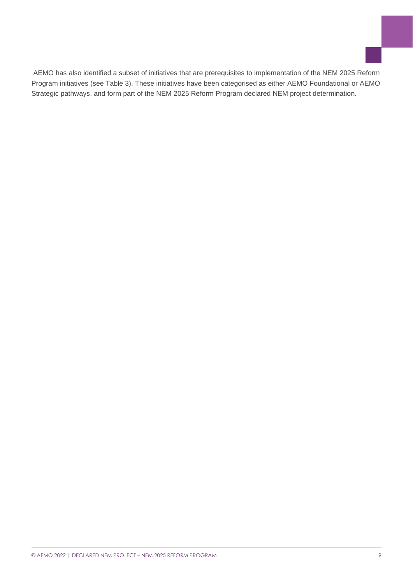AEMO has also identified a subset of initiatives that are prerequisites to implementation of the NEM 2025 Reform Program initiatives (see Table 3). These initiatives have been categorised as either AEMO Foundational or AEMO Strategic pathways, and form part of the NEM 2025 Reform Program declared NEM project determination.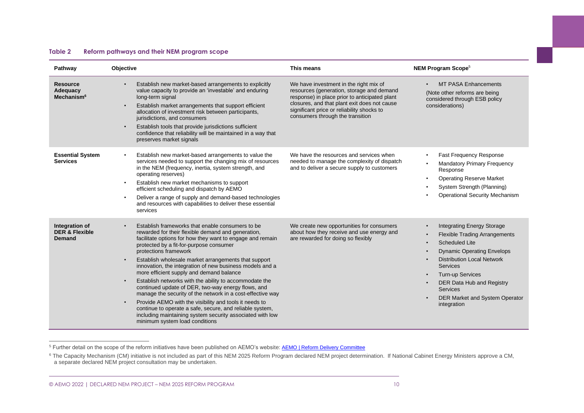#### **Table 2 Reform pathways and their NEM program scope**

| Pathway                                               | Objective                                                                                                                                                                                                                                                                                                                                                                                                                                                                                                                                                                                                                                                                                                                                                                                                               | This means                                                                                                                                                                                                                                                             | <b>NEM Program Scope<sup>5</sup></b>                                                                                                                                                                                                                                                                                        |  |  |
|-------------------------------------------------------|-------------------------------------------------------------------------------------------------------------------------------------------------------------------------------------------------------------------------------------------------------------------------------------------------------------------------------------------------------------------------------------------------------------------------------------------------------------------------------------------------------------------------------------------------------------------------------------------------------------------------------------------------------------------------------------------------------------------------------------------------------------------------------------------------------------------------|------------------------------------------------------------------------------------------------------------------------------------------------------------------------------------------------------------------------------------------------------------------------|-----------------------------------------------------------------------------------------------------------------------------------------------------------------------------------------------------------------------------------------------------------------------------------------------------------------------------|--|--|
| <b>Resource</b><br>Adequacy<br>Mechanism <sup>6</sup> | Establish new market-based arrangements to explicitly<br>value capacity to provide an 'investable' and enduring<br>long-term signal<br>Establish market arrangements that support efficient<br>allocation of investment risk between participants,<br>jurisdictions, and consumers<br>Establish tools that provide jurisdictions sufficient<br>confidence that reliability will be maintained in a way that<br>preserves market signals                                                                                                                                                                                                                                                                                                                                                                                 | We have investment in the right mix of<br>resources (generation, storage and demand<br>response) in place prior to anticipated plant<br>closures, and that plant exit does not cause<br>significant price or reliability shocks to<br>consumers through the transition | <b>MT PASA Enhancements</b><br>(Note other reforms are being<br>considered through ESB policy<br>considerations)                                                                                                                                                                                                            |  |  |
| <b>Essential System</b><br><b>Services</b>            | Establish new market-based arrangements to value the<br>services needed to support the changing mix of resources<br>in the NEM (frequency, inertia, system strength, and<br>operating reserves)<br>Establish new market mechanisms to support<br>efficient scheduling and dispatch by AEMO<br>Deliver a range of supply and demand-based technologies<br>$\bullet$<br>and resources with capabilities to deliver these essential<br>services                                                                                                                                                                                                                                                                                                                                                                            | We have the resources and services when<br>needed to manage the complexity of dispatch<br>and to deliver a secure supply to customers                                                                                                                                  | Fast Frequency Response<br><b>Mandatory Primary Frequency</b><br>Response<br><b>Operating Reserve Market</b><br>System Strength (Planning)<br><b>Operational Security Mechanism</b>                                                                                                                                         |  |  |
| Integration of<br><b>DER &amp; Flexible</b><br>Demand | Establish frameworks that enable consumers to be<br>rewarded for their flexible demand and generation,<br>facilitate options for how they want to engage and remain<br>protected by a fit-for-purpose consumer<br>protections framework<br>Establish wholesale market arrangements that support<br>innovation, the integration of new business models and a<br>more efficient supply and demand balance<br>Establish networks with the ability to accommodate the<br>continued update of DER, two-way energy flows, and<br>manage the security of the network in a cost-effective way<br>Provide AEMO with the visibility and tools it needs to<br>$\bullet$<br>continue to operate a safe, secure, and reliable system,<br>including maintaining system security associated with low<br>minimum system load conditions | We create new opportunities for consumers<br>about how they receive and use energy and<br>are rewarded for doing so flexibly                                                                                                                                           | <b>Integrating Energy Storage</b><br><b>Flexible Trading Arrangements</b><br><b>Scheduled Lite</b><br><b>Dynamic Operating Envelops</b><br><b>Distribution Local Network</b><br><b>Services</b><br><b>Turn-up Services</b><br>DER Data Hub and Registry<br><b>Services</b><br>DER Market and System Operator<br>integration |  |  |

<span id="page-9-0"></span><sup>5</sup> Further detail on the scope of the reform initiatives have been published on AEMO's website: **[AEMO | Reform Delivery Committee](https://www.aemo.com.au/consultations/industry-forums-and-working-groups/list-of-industry-forums-and-working-groups/reform-delivery-committee)** 

<sup>&</sup>lt;sup>6</sup> The Capacity Mechanism (CM) initiative is not included as part of this NEM 2025 Reform Program declared NEM project determination. If National Cabinet Energy Ministers approve a CM, a separate declared NEM project consultation may be undertaken.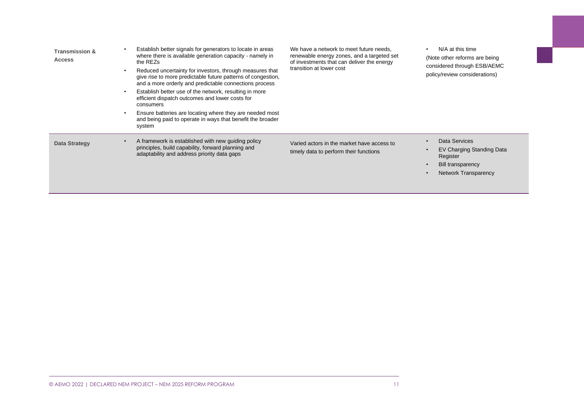| <b>Transmission &amp;</b><br><b>Access</b><br>$\bullet$ | Establish better signals for generators to locate in areas<br>where there is available generation capacity - namely in<br>the REZs<br>Reduced uncertainty for investors, through measures that<br>give rise to more predictable future patterns of congestion.<br>and a more orderly and predictable connections process<br>Establish better use of the network, resulting in more<br>efficient dispatch outcomes and lower costs for<br>consumers<br>Ensure batteries are locating where they are needed most<br>and being paid to operate in ways that benefit the broader<br>system | We have a network to meet future needs.<br>renewable energy zones, and a targeted set<br>of investments that can deliver the energy<br>transition at lower cost | N/A at this time<br>$\bullet$<br>(Note other reforms are being)<br>considered through ESB/AEMC<br>policy/review considerations)                   |
|---------------------------------------------------------|----------------------------------------------------------------------------------------------------------------------------------------------------------------------------------------------------------------------------------------------------------------------------------------------------------------------------------------------------------------------------------------------------------------------------------------------------------------------------------------------------------------------------------------------------------------------------------------|-----------------------------------------------------------------------------------------------------------------------------------------------------------------|---------------------------------------------------------------------------------------------------------------------------------------------------|
| <b>Data Strategy</b>                                    | A framework is established with new guiding policy<br>principles, build capability, forward planning and<br>adaptability and address priority data gaps                                                                                                                                                                                                                                                                                                                                                                                                                                | Varied actors in the market have access to<br>timely data to perform their functions                                                                            | Data Services<br>$\bullet$<br>EV Charging Standing Data<br>Register<br><b>Bill transparency</b><br>$\bullet$<br>Network Transparency<br>$\bullet$ |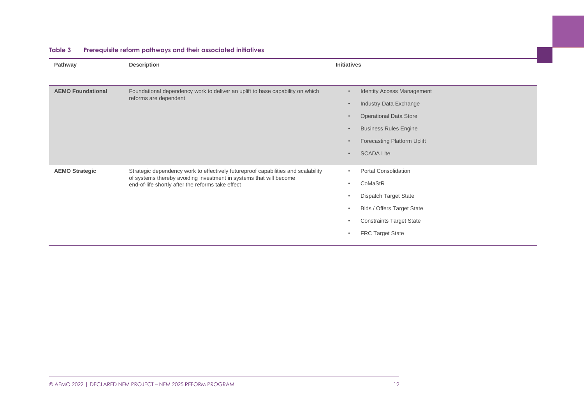<span id="page-11-0"></span>

| Pathway                  | Description                                                                                                                                             | <b>Initiatives</b> |                                   |
|--------------------------|---------------------------------------------------------------------------------------------------------------------------------------------------------|--------------------|-----------------------------------|
|                          |                                                                                                                                                         |                    |                                   |
|                          |                                                                                                                                                         |                    |                                   |
| <b>AEMO Foundational</b> | Foundational dependency work to deliver an uplift to base capability on which<br>reforms are dependent                                                  | $\bullet$          | <b>Identity Access Management</b> |
|                          |                                                                                                                                                         | $\bullet$          | Industry Data Exchange            |
|                          |                                                                                                                                                         | $\bullet$          | <b>Operational Data Store</b>     |
|                          |                                                                                                                                                         | $\bullet$          | <b>Business Rules Engine</b>      |
|                          |                                                                                                                                                         | $\bullet$          | Forecasting Platform Uplift       |
|                          |                                                                                                                                                         | $\bullet$          | <b>SCADA Lite</b>                 |
|                          |                                                                                                                                                         |                    |                                   |
| <b>AEMO Strategic</b>    | Strategic dependency work to effectively futureproof capabilities and scalability<br>of systems thereby avoiding investment in systems that will become | $\bullet$          | Portal Consolidation              |
|                          | end-of-life shortly after the reforms take effect                                                                                                       | $\bullet$          | CoMaStR                           |
|                          |                                                                                                                                                         | $\bullet$          | <b>Dispatch Target State</b>      |
|                          |                                                                                                                                                         | $\bullet$          | <b>Bids / Offers Target State</b> |
|                          |                                                                                                                                                         | $\bullet$          | <b>Constraints Target State</b>   |
|                          |                                                                                                                                                         | $\bullet$          | <b>FRC Target State</b>           |
|                          |                                                                                                                                                         |                    |                                   |

#### **Table 3 Prerequisite reform pathways and their associated initiatives**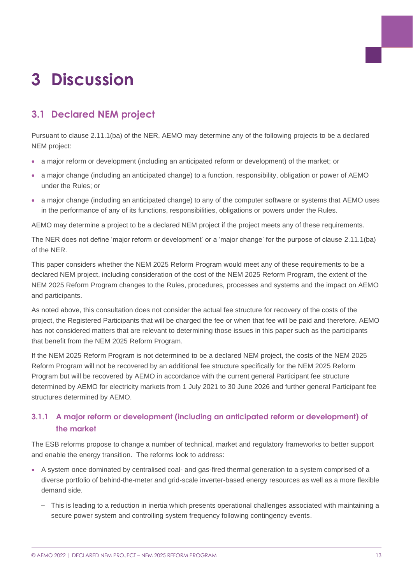## <span id="page-12-0"></span>**3 Discussion**

## <span id="page-12-1"></span>**3.1 Declared NEM project**

Pursuant to clause 2.11.1(ba) of the NER, AEMO may determine any of the following projects to be a declared NEM project:

- a major reform or development (including an anticipated reform or development) of the market; or
- a major change (including an anticipated change) to a function, responsibility, obligation or power of AEMO under the Rules; or
- a major change (including an anticipated change) to any of the computer software or systems that AEMO uses in the performance of any of its functions, responsibilities, obligations or powers under the Rules.

AEMO may determine a project to be a declared NEM project if the project meets any of these requirements.

The NER does not define 'major reform or development' or a 'major change' for the purpose of clause 2.11.1(ba) of the NER.

This paper considers whether the NEM 2025 Reform Program would meet any of these requirements to be a declared NEM project, including consideration of the cost of the NEM 2025 Reform Program, the extent of the NEM 2025 Reform Program changes to the Rules, procedures, processes and systems and the impact on AEMO and participants.

As noted above, this consultation does not consider the actual fee structure for recovery of the costs of the project, the Registered Participants that will be charged the fee or when that fee will be paid and therefore, AEMO has not considered matters that are relevant to determining those issues in this paper such as the participants that benefit from the NEM 2025 Reform Program.

If the NEM 2025 Reform Program is not determined to be a declared NEM project, the costs of the NEM 2025 Reform Program will not be recovered by an additional fee structure specifically for the NEM 2025 Reform Program but will be recovered by AEMO in accordance with the current general Participant fee structure determined by AEMO for electricity markets from 1 July 2021 to 30 June 2026 and further general Participant fee structures determined by AEMO.

### **3.1.1 A major reform or development (including an anticipated reform or development) of the market**

The ESB reforms propose to change a number of technical, market and regulatory frameworks to better support and enable the energy transition. The reforms look to address:

- A system once dominated by centralised coal- and gas-fired thermal generation to a system comprised of a diverse portfolio of behind-the-meter and grid-scale inverter-based energy resources as well as a more flexible demand side.
	- This is leading to a reduction in inertia which presents operational challenges associated with maintaining a secure power system and controlling system frequency following contingency events.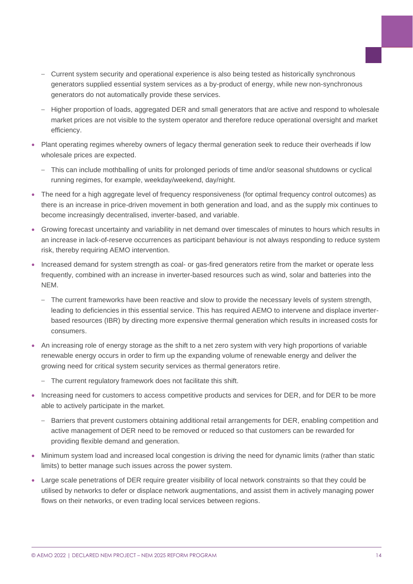- Current system security and operational experience is also being tested as historically synchronous generators supplied essential system services as a by-product of energy, while new non-synchronous generators do not automatically provide these services.
- Higher proportion of loads, aggregated DER and small generators that are active and respond to wholesale market prices are not visible to the system operator and therefore reduce operational oversight and market efficiency.
- Plant operating regimes whereby owners of legacy thermal generation seek to reduce their overheads if low wholesale prices are expected.
	- This can include mothballing of units for prolonged periods of time and/or seasonal shutdowns or cyclical running regimes, for example, weekday/weekend, day/night.
- The need for a high aggregate level of frequency responsiveness (for optimal frequency control outcomes) as there is an increase in price-driven movement in both generation and load, and as the supply mix continues to become increasingly decentralised, inverter-based, and variable.
- Growing forecast uncertainty and variability in net demand over timescales of minutes to hours which results in an increase in lack-of-reserve occurrences as participant behaviour is not always responding to reduce system risk, thereby requiring AEMO intervention.
- Increased demand for system strength as coal- or gas-fired generators retire from the market or operate less frequently, combined with an increase in inverter-based resources such as wind, solar and batteries into the NEM.
	- The current frameworks have been reactive and slow to provide the necessary levels of system strength, leading to deficiencies in this essential service. This has required AEMO to intervene and displace inverterbased resources (IBR) by directing more expensive thermal generation which results in increased costs for consumers.
- An increasing role of energy storage as the shift to a net zero system with very high proportions of variable renewable energy occurs in order to firm up the expanding volume of renewable energy and deliver the growing need for critical system security services as thermal generators retire.
	- The current regulatory framework does not facilitate this shift.
- Increasing need for customers to access competitive products and services for DER, and for DER to be more able to actively participate in the market.
	- Barriers that prevent customers obtaining additional retail arrangements for DER, enabling competition and active management of DER need to be removed or reduced so that customers can be rewarded for providing flexible demand and generation.
- Minimum system load and increased local congestion is driving the need for dynamic limits (rather than static limits) to better manage such issues across the power system.
- Large scale penetrations of DER require greater visibility of local network constraints so that they could be utilised by networks to defer or displace network augmentations, and assist them in actively managing power flows on their networks, or even trading local services between regions.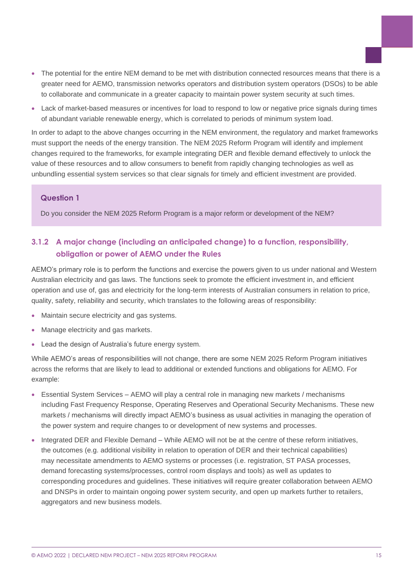- The potential for the entire NEM demand to be met with distribution connected resources means that there is a greater need for AEMO, transmission networks operators and distribution system operators (DSOs) to be able to collaborate and communicate in a greater capacity to maintain power system security at such times.
- Lack of market-based measures or incentives for load to respond to low or negative price signals during times of abundant variable renewable energy, which is correlated to periods of minimum system load.

In order to adapt to the above changes occurring in the NEM environment, the regulatory and market frameworks must support the needs of the energy transition. The NEM 2025 Reform Program will identify and implement changes required to the frameworks, for example integrating DER and flexible demand effectively to unlock the value of these resources and to allow consumers to benefit from rapidly changing technologies as well as unbundling essential system services so that clear signals for timely and efficient investment are provided.

#### **Question 1**

Do you consider the NEM 2025 Reform Program is a major reform or development of the NEM?

### **3.1.2 A major change (including an anticipated change) to a function, responsibility, obligation or power of AEMO under the Rules**

AEMO's primary role is to perform the functions and exercise the powers given to us under national and Western Australian electricity and gas laws. The functions seek to promote the efficient investment in, and efficient operation and use of, gas and electricity for the long-term interests of Australian consumers in relation to price, quality, safety, reliability and security, which translates to the following areas of responsibility:

- Maintain secure electricity and gas systems.
- Manage electricity and gas markets.
- Lead the design of Australia's future energy system.

While AEMO's areas of responsibilities will not change, there are some NEM 2025 Reform Program initiatives across the reforms that are likely to lead to additional or extended functions and obligations for AEMO. For example:

- Essential System Services AEMO will play a central role in managing new markets / mechanisms including Fast Frequency Response, Operating Reserves and Operational Security Mechanisms. These new markets / mechanisms will directly impact AEMO's business as usual activities in managing the operation of the power system and require changes to or development of new systems and processes.
- Integrated DER and Flexible Demand While AEMO will not be at the centre of these reform initiatives, the outcomes (e.g. additional visibility in relation to operation of DER and their technical capabilities) may necessitate amendments to AEMO systems or processes (i.e. registration, ST PASA processes, demand forecasting systems/processes, control room displays and tools) as well as updates to corresponding procedures and guidelines. These initiatives will require greater collaboration between AEMO and DNSPs in order to maintain ongoing power system security, and open up markets further to retailers, aggregators and new business models.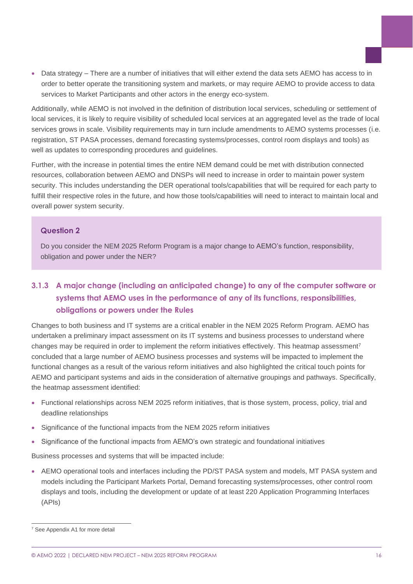• Data strategy – There are a number of initiatives that will either extend the data sets AEMO has access to in order to better operate the transitioning system and markets, or may require AEMO to provide access to data services to Market Participants and other actors in the energy eco-system.

Additionally, while AEMO is not involved in the definition of distribution local services, scheduling or settlement of local services, it is likely to require visibility of scheduled local services at an aggregated level as the trade of local services grows in scale. Visibility requirements may in turn include amendments to AEMO systems processes (i.e. registration, ST PASA processes, demand forecasting systems/processes, control room displays and tools) as well as updates to corresponding procedures and guidelines.

Further, with the increase in potential times the entire NEM demand could be met with distribution connected resources, collaboration between AEMO and DNSPs will need to increase in order to maintain power system security. This includes understanding the DER operational tools/capabilities that will be required for each party to fulfill their respective roles in the future, and how those tools/capabilities will need to interact to maintain local and overall power system security.

#### **Question 2**

Do you consider the NEM 2025 Reform Program is a major change to AEMO's function, responsibility, obligation and power under the NER?

### **3.1.3 A major change (including an anticipated change) to any of the computer software or systems that AEMO uses in the performance of any of its functions, responsibilities, obligations or powers under the Rules**

Changes to both business and IT systems are a critical enabler in the NEM 2025 Reform Program. AEMO has undertaken a preliminary impact assessment on its IT systems and business processes to understand where changes may be required in order to implement the reform initiatives effectively. This heatmap assessment<sup>7</sup> concluded that a large number of AEMO business processes and systems will be impacted to implement the functional changes as a result of the various reform initiatives and also highlighted the critical touch points for AEMO and participant systems and aids in the consideration of alternative groupings and pathways. Specifically, the heatmap assessment identified:

- Functional relationships across NEM 2025 reform initiatives, that is those system, process, policy, trial and deadline relationships
- Significance of the functional impacts from the NEM 2025 reform initiatives
- Significance of the functional impacts from AEMO's own strategic and foundational initiatives

Business processes and systems that will be impacted include:

• AEMO operational tools and interfaces including the PD/ST PASA system and models, MT PASA system and models including the Participant Markets Portal, Demand forecasting systems/processes, other control room displays and tools, including the development or update of at least 220 Application Programming Interfaces (APIs)

<sup>&</sup>lt;sup>7</sup> See Appendix A1 for more detail

<sup>©</sup> AEMO 2022 | DECLARED NEM PROJECT – NEM 2025 REFORM PROGRAM 16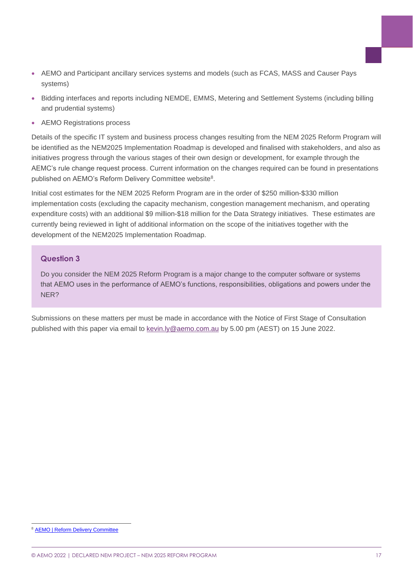- AEMO and Participant ancillary services systems and models (such as FCAS, MASS and Causer Pays systems)
- Bidding interfaces and reports including NEMDE, EMMS, Metering and Settlement Systems (including billing and prudential systems)
- AEMO Registrations process

Details of the specific IT system and business process changes resulting from the NEM 2025 Reform Program will be identified as the NEM2025 Implementation Roadmap is developed and finalised with stakeholders, and also as initiatives progress through the various stages of their own design or development, for example through the AEMC's rule change request process. Current information on the changes required can be found in presentations published on AEMO's Reform Delivery Committee website<sup>8</sup>.

Initial cost estimates for the NEM 2025 Reform Program are in the order of \$250 million-\$330 million implementation costs (excluding the capacity mechanism, congestion management mechanism, and operating expenditure costs) with an additional \$9 million-\$18 million for the Data Strategy initiatives. These estimates are currently being reviewed in light of additional information on the scope of the initiatives together with the development of the NEM2025 Implementation Roadmap.

#### **Question 3**

Do you consider the NEM 2025 Reform Program is a major change to the computer software or systems that AEMO uses in the performance of AEMO's functions, responsibilities, obligations and powers under the NER?

Submissions on these matters per must be made in accordance with the Notice of First Stage of Consultation published with this paper via email to [kevin.ly@aemo.com.au](mailto:kevin.ly@aemo.com.au) by 5.00 pm (AEST) on 15 June 2022.

**[AEMO | Reform Delivery Committee](https://www.aemo.com.au/consultations/industry-forums-and-working-groups/list-of-industry-forums-and-working-groups/reform-delivery-committee)** 

<sup>©</sup> AEMO 2022 | DECLARED NEM PROJECT – NEM 2025 REFORM PROGRAM 17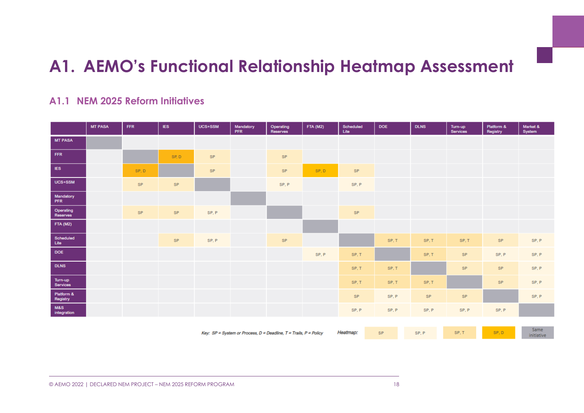## **A1. AEMO's Functional Relationship Heatmap Assessment**

### **A1.1 NEM 2025 Reform Initiatives**

<span id="page-17-1"></span><span id="page-17-0"></span>

|                                | <b>MT PASA</b> | <b>FFR</b> | <b>IES</b> | UCS+SSM | Mandatory<br><b>PFR</b> | Operating<br>Reserves | <b>FTA (M2)</b> | Scheduled<br>Lite | <b>DOE</b> | <b>DLNS</b> | Turn-up<br><b>Services</b> | Platform &<br>Registry | Market &<br>System |
|--------------------------------|----------------|------------|------------|---------|-------------------------|-----------------------|-----------------|-------------------|------------|-------------|----------------------------|------------------------|--------------------|
| <b>MT PASA</b>                 |                |            |            |         |                         |                       |                 |                   |            |             |                            |                        |                    |
| <b>FFR</b>                     |                |            | SP, D      | SP.     |                         | <b>SP</b>             |                 |                   |            |             |                            |                        |                    |
| IES.                           |                | SP, D      |            | SP.     |                         | SP                    | SP, D           | SP.               |            |             |                            |                        |                    |
| UCS+SSM                        |                | <b>SP</b>  | <b>SP</b>  |         |                         | SP, P                 |                 | SP, P             |            |             |                            |                        |                    |
| Mandatory<br>PFR               |                |            |            |         |                         |                       |                 |                   |            |             |                            |                        |                    |
| Operating<br>Reserves          |                | SP         | SP.        | SP, P   |                         |                       |                 | SP.               |            |             |                            |                        |                    |
| <b>FTA (M2)</b>                |                |            |            |         |                         |                       |                 |                   |            |             |                            |                        |                    |
| Scheduled<br>List <sub>e</sub> |                |            | SP.        | SP, P   |                         | SP.                   |                 |                   | SP.T       | SP.T        | SP, T                      | <b>SP</b>              | SP, P              |
| <b>DOE</b>                     |                |            |            |         |                         |                       | SP, P           | SP, T             |            | SP, T       | <b>SP</b>                  | SP, P                  | SP, P              |
| <b>DLNS</b>                    |                |            |            |         |                         |                       |                 | SP, T             | SP, T      |             | SP.                        | SP.                    | SP, P              |
| Turn-up<br>Services            |                |            |            |         |                         |                       |                 | SP, T             | SP, T      | SP, T       |                            | <b>SP</b>              | SP, P              |
| Platform &<br>Registry         |                |            |            |         |                         |                       |                 | SP.               | SP, P      | SP.         | <b>SP</b>                  |                        | SP, P              |
| M&S<br>integration             |                |            |            |         |                         |                       |                 | SP, P             | SP, P      | SP, P       | SP, P                      | SP, P                  |                    |
|                                |                |            |            |         |                         |                       |                 |                   |            |             |                            |                        |                    |

Key:  $SP = System$  or Process,  $D = Deadline$ ,  $T = Trails$ ,  $P = Policy$ 

Heatmap:

SP.T

SP.D

Same

initiative

SP, P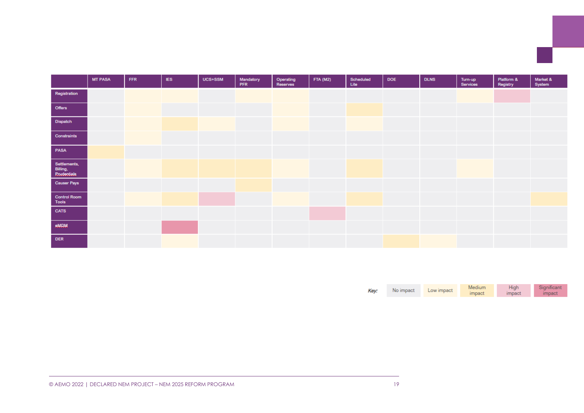|                                         | <b>MT PASA</b> | <b>FFR</b> | <b>IES</b> | UCS+SSM | Mandatory<br>PFR | Operating<br>Reserves | <b>FTA (M2)</b> | Scheduled<br>Lite | <b>DOE</b> | <b>DLNS</b> | Turn-up<br>Services | Platform &<br>Registry | Market &<br>System |
|-----------------------------------------|----------------|------------|------------|---------|------------------|-----------------------|-----------------|-------------------|------------|-------------|---------------------|------------------------|--------------------|
| Registration                            |                |            |            |         |                  |                       |                 |                   |            |             |                     |                        |                    |
| Offers                                  |                |            |            |         |                  |                       |                 |                   |            |             |                     |                        |                    |
| Dispatch                                |                |            |            |         |                  |                       |                 |                   |            |             |                     |                        |                    |
| Constraints                             |                |            |            |         |                  |                       |                 |                   |            |             |                     |                        |                    |
| PASA                                    |                |            |            |         |                  |                       |                 |                   |            |             |                     |                        |                    |
| Settlements,<br>Billing,<br>Roudeotiala |                |            |            |         |                  |                       |                 |                   |            |             |                     |                        |                    |
| Causer Pays                             |                |            |            |         |                  |                       |                 |                   |            |             |                     |                        |                    |
| <b>Control Room</b><br>Tools            |                |            |            |         |                  |                       |                 |                   |            |             |                     |                        |                    |
| <b>CATS</b>                             |                |            |            |         |                  |                       |                 |                   |            |             |                     |                        |                    |
| $\mathsf{RMDM}$                         |                |            |            |         |                  |                       |                 |                   |            |             |                     |                        |                    |
| <b>DER</b>                              |                |            |            |         |                  |                       |                 |                   |            |             |                     |                        |                    |

|      | No impact | Low impact | Medium | Hıqh   | Significant |
|------|-----------|------------|--------|--------|-------------|
| Key: |           |            | impact | impact | umpact.     |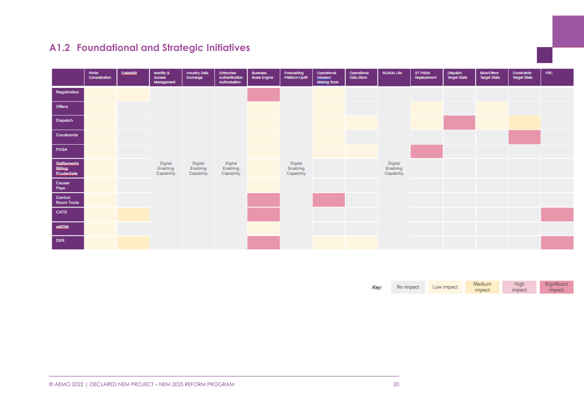## **A1.2 Foundational and Strategic Initiatives**

<span id="page-19-0"></span>

|                                        | Portal<br>Consolidation | COMBSIB | <b>Identify &amp;</b><br><b>ACCESS</b><br>Management | Industry Data<br>Exchange         | Enterprise<br>Authentication<br>Authorisation | Business<br><b>Rules Engine</b> | Forecasting<br>Platform Uplift    | Operational<br><b>Decision</b><br><b>Making Tools</b> | Operational<br>Data Store | <b>SCADA Lite</b>                 | ST PASA<br>Replacement | <b>Dispatch</b><br><b>Target State</b> | <b>Bids/Offers</b><br>Target State | Constraints<br><b>Target State</b> | <b>FRC</b> |
|----------------------------------------|-------------------------|---------|------------------------------------------------------|-----------------------------------|-----------------------------------------------|---------------------------------|-----------------------------------|-------------------------------------------------------|---------------------------|-----------------------------------|------------------------|----------------------------------------|------------------------------------|------------------------------------|------------|
| Registration                           |                         |         |                                                      |                                   |                                               |                                 |                                   |                                                       |                           |                                   |                        |                                        |                                    |                                    |            |
| Offers                                 |                         |         |                                                      |                                   |                                               |                                 |                                   |                                                       |                           |                                   |                        |                                        |                                    |                                    |            |
| Dispatch                               |                         |         |                                                      |                                   |                                               |                                 |                                   |                                                       |                           |                                   |                        |                                        |                                    |                                    |            |
| Constraints                            |                         |         |                                                      |                                   |                                               |                                 |                                   |                                                       |                           |                                   |                        |                                        |                                    |                                    |            |
| PASA                                   |                         |         |                                                      |                                   |                                               |                                 |                                   |                                                       |                           |                                   |                        |                                        |                                    |                                    |            |
| Settlements<br>Billing,<br>Roudentials |                         |         | Digital<br>Enabling<br>Capability                    | Digital<br>Enabling<br>Capability | Digital<br>Enabling<br>Capability             |                                 | Digital<br>Enabling<br>Capability |                                                       |                           | Digital<br>Enabling<br>Capability |                        |                                        |                                    |                                    |            |
| Causer<br>Pays                         |                         |         |                                                      |                                   |                                               |                                 |                                   |                                                       |                           |                                   |                        |                                        |                                    |                                    |            |
| Control<br><b>Room Tools</b>           |                         |         |                                                      |                                   |                                               |                                 |                                   |                                                       |                           |                                   |                        |                                        |                                    |                                    |            |
| <b>CATS</b>                            |                         |         |                                                      |                                   |                                               |                                 |                                   |                                                       |                           |                                   |                        |                                        |                                    |                                    |            |
| <b>RAIDM</b>                           |                         |         |                                                      |                                   |                                               |                                 |                                   |                                                       |                           |                                   |                        |                                        |                                    |                                    |            |
| <b>DER</b>                             |                         |         |                                                      |                                   |                                               |                                 |                                   |                                                       |                           |                                   |                        |                                        |                                    |                                    |            |

| Key: | No impact | Low impact | Medium | High   | Significant |
|------|-----------|------------|--------|--------|-------------|
|      |           |            | impact | impact | impact      |